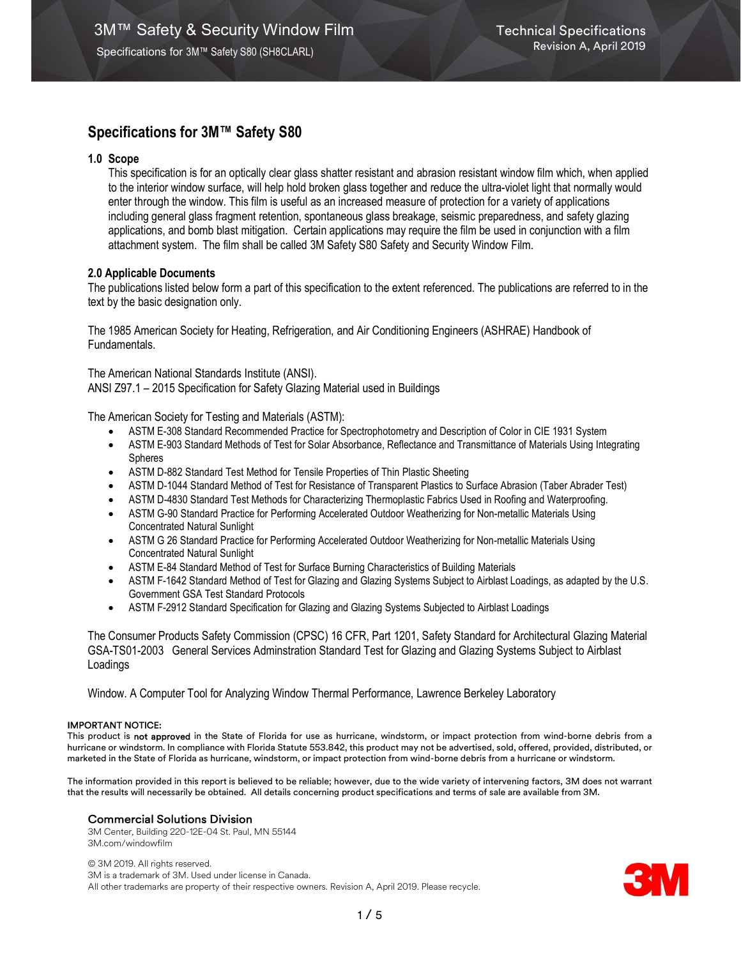# Specifications for 3M™ Safety S80

## 1.0 Scope

This specification is for an optically clear glass shatter resistant and abrasion resistant window film which, when applied to the interior window surface, will help hold broken glass together and reduce the ultra-violet light that normally would enter through the window. This film is useful as an increased measure of protection for a variety of applications including general glass fragment retention, spontaneous glass breakage, seismic preparedness, and safety glazing applications, and bomb blast mitigation. Certain applications may require the film be used in conjunction with a film attachment system. The film shall be called 3M Safety S80 Safety and Security Window Film.

## 2.0 Applicable Documents

The publications listed below form a part of this specification to the extent referenced. The publications are referred to in the text by the basic designation only.

The 1985 American Society for Heating, Refrigeration, and Air Conditioning Engineers (ASHRAE) Handbook of Fundamentals.

The American National Standards Institute (ANSI). ANSI Z97.1 – 2015 Specification for Safety Glazing Material used in Buildings

The American Society for Testing and Materials (ASTM):

- ASTM E-308 Standard Recommended Practice for Spectrophotometry and Description of Color in CIE 1931 System
- ASTM E-903 Standard Methods of Test for Solar Absorbance, Reflectance and Transmittance of Materials Using Integrating Spheres
- ASTM D-882 Standard Test Method for Tensile Properties of Thin Plastic Sheeting
- ASTM D-1044 Standard Method of Test for Resistance of Transparent Plastics to Surface Abrasion (Taber Abrader Test)
- ASTM D-4830 Standard Test Methods for Characterizing Thermoplastic Fabrics Used in Roofing and Waterproofing.
- ASTM G-90 Standard Practice for Performing Accelerated Outdoor Weatherizing for Non-metallic Materials Using Concentrated Natural Sunlight
- ASTM G 26 Standard Practice for Performing Accelerated Outdoor Weatherizing for Non-metallic Materials Using Concentrated Natural Sunlight
- ASTM E-84 Standard Method of Test for Surface Burning Characteristics of Building Materials
- ASTM F-1642 Standard Method of Test for Glazing and Glazing Systems Subject to Airblast Loadings, as adapted by the U.S. Government GSA Test Standard Protocols
- ASTM F-2912 Standard Specification for Glazing and Glazing Systems Subjected to Airblast Loadings

The Consumer Products Safety Commission (CPSC) 16 CFR, Part 1201, Safety Standard for Architectural Glazing Material GSA-TS01-2003 General Services Adminstration Standard Test for Glazing and Glazing Systems Subject to Airblast Loadings

Window. A Computer Tool for Analyzing Window Thermal Performance, Lawrence Berkeley Laboratory

#### IMPORTANT NOTICE:

This product is not approved in the State of Florida for use as hurricane, windstorm, or impact protection from wind-borne debris from a hurricane or windstorm. In compliance with Florida Statute 553.842, this product may not be advertised, sold, offered, provided, distributed, or marketed in the State of Florida as hurricane, windstorm, or impact protection from wind-borne debris from a hurricane or windstorm.

The information provided in this report is believed to be reliable; however, due to the wide variety of intervening factors, 3M does not warrant that the results will necessarily be obtained. All details concerning product specifications and terms of sale are available from 3M.

## Commercial Solutions Division

3M Center, Building 220-12E-04 St. Paul, MN 55144 3M.com/windowfilm

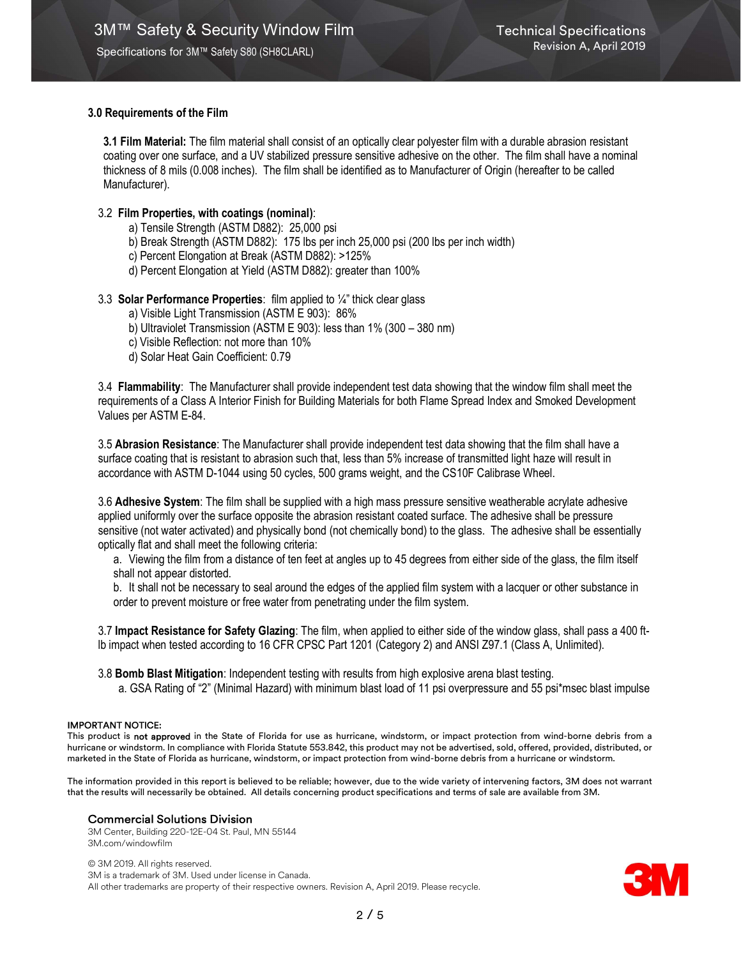## 3.0 Requirements of the Film

3.1 Film Material: The film material shall consist of an optically clear polyester film with a durable abrasion resistant coating over one surface, and a UV stabilized pressure sensitive adhesive on the other. The film shall have a nominal thickness of 8 mils (0.008 inches). The film shall be identified as to Manufacturer of Origin (hereafter to be called Manufacturer).

## 3.2 Film Properties, with coatings (nominal):

- a) Tensile Strength (ASTM D882): 25,000 psi
- b) Break Strength (ASTM D882): 175 lbs per inch 25,000 psi (200 lbs per inch width)
- c) Percent Elongation at Break (ASTM D882): >125%
- d) Percent Elongation at Yield (ASTM D882): greater than 100%

## 3.3 Solar Performance Properties: film applied to  $\frac{1}{4}$ " thick clear glass

- a) Visible Light Transmission (ASTM E 903): 86%
- b) Ultraviolet Transmission (ASTM E 903): less than 1% (300 380 nm)
- c) Visible Reflection: not more than 10%
- d) Solar Heat Gain Coefficient: 0.79

3.4 Flammability: The Manufacturer shall provide independent test data showing that the window film shall meet the requirements of a Class A Interior Finish for Building Materials for both Flame Spread Index and Smoked Development Values per ASTM E-84.

3.5 Abrasion Resistance: The Manufacturer shall provide independent test data showing that the film shall have a surface coating that is resistant to abrasion such that, less than 5% increase of transmitted light haze will result in accordance with ASTM D-1044 using 50 cycles, 500 grams weight, and the CS10F Calibrase Wheel.

3.6 Adhesive System: The film shall be supplied with a high mass pressure sensitive weatherable acrylate adhesive applied uniformly over the surface opposite the abrasion resistant coated surface. The adhesive shall be pressure sensitive (not water activated) and physically bond (not chemically bond) to the glass. The adhesive shall be essentially optically flat and shall meet the following criteria:

a. Viewing the film from a distance of ten feet at angles up to 45 degrees from either side of the glass, the film itself shall not appear distorted.

b. It shall not be necessary to seal around the edges of the applied film system with a lacquer or other substance in order to prevent moisture or free water from penetrating under the film system.

3.7 Impact Resistance for Safety Glazing: The film, when applied to either side of the window glass, shall pass a 400 ftlb impact when tested according to 16 CFR CPSC Part 1201 (Category 2) and ANSI Z97.1 (Class A, Unlimited).

3.8 Bomb Blast Mitigation: Independent testing with results from high explosive arena blast testing. a. GSA Rating of "2" (Minimal Hazard) with minimum blast load of 11 psi overpressure and 55 psi\*msec blast impulse

#### IMPORTANT NOTICE:

This product is not approved in the State of Florida for use as hurricane, windstorm, or impact protection from wind-borne debris from a hurricane or windstorm. In compliance with Florida Statute 553.842, this product may not be advertised, sold, offered, provided, distributed, or marketed in the State of Florida as hurricane, windstorm, or impact protection from wind-borne debris from a hurricane or windstorm.

The information provided in this report is believed to be reliable; however, due to the wide variety of intervening factors, 3M does not warrant that the results will necessarily be obtained. All details concerning product specifications and terms of sale are available from 3M.

## Commercial Solutions Division

3M Center, Building 220-12E-04 St. Paul, MN 55144 3M.com/windowfilm

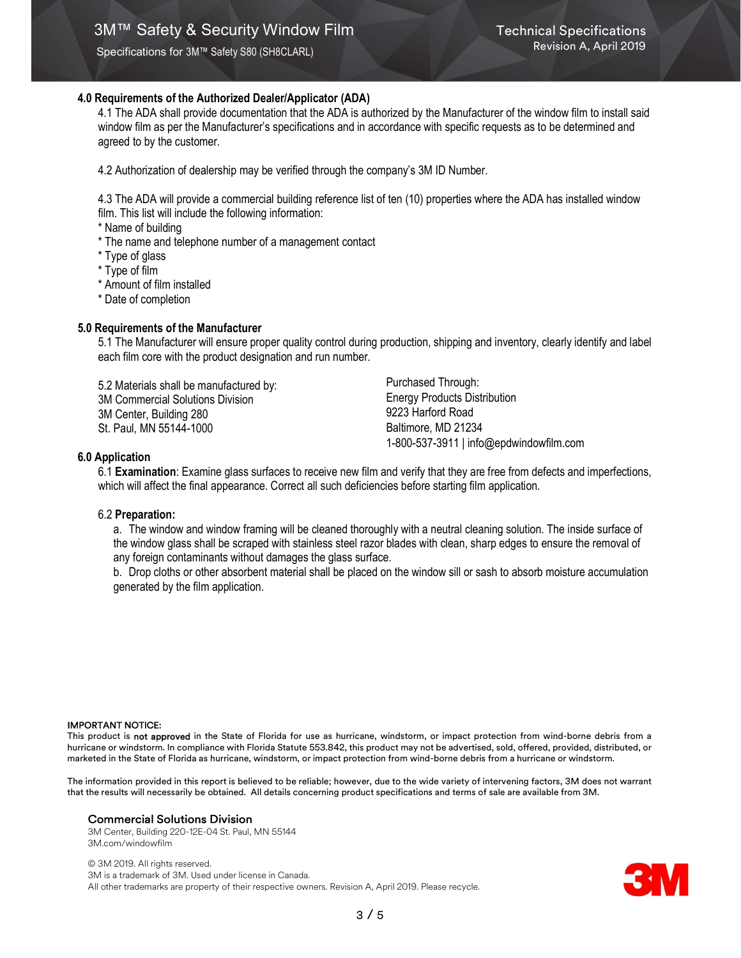Specifications for 3M™ Safety S80 (SH8CLARL)

## 4.0 Requirements of the Authorized Dealer/Applicator (ADA)

4.1 The ADA shall provide documentation that the ADA is authorized by the Manufacturer of the window film to install said window film as per the Manufacturer's specifications and in accordance with specific requests as to be determined and agreed to by the customer.

4.2 Authorization of dealership may be verified through the company's 3M ID Number.

4.3 The ADA will provide a commercial building reference list of ten (10) properties where the ADA has installed window film. This list will include the following information:

\* Name of building

- \* The name and telephone number of a management contact
- \* Type of glass
- \* Type of film
- \* Amount of film installed
- \* Date of completion

### 5.0 Requirements of the Manufacturer

5.1 The Manufacturer will ensure proper quality control during production, shipping and inventory, clearly identify and label each film core with the product designation and run number.

5.2 Materials shall be manufactured by: 3M Commercial Solutions Division 3M Center, Building 280 St. Paul, MN 55144-1000

Purchased Through: Energy Products Distribution 9223 Harford Road Baltimore, MD 21234 1-800-537-3911 | info@epdwindowfilm.com

#### 6.0 Application

6.1 Examination: Examine glass surfaces to receive new film and verify that they are free from defects and imperfections, which will affect the final appearance. Correct all such deficiencies before starting film application.

#### 6.2 Preparation:

a. The window and window framing will be cleaned thoroughly with a neutral cleaning solution. The inside surface of the window glass shall be scraped with stainless steel razor blades with clean, sharp edges to ensure the removal of any foreign contaminants without damages the glass surface.

b. Drop cloths or other absorbent material shall be placed on the window sill or sash to absorb moisture accumulation generated by the film application.

#### IMPORTANT NOTICE:

This product is not approved in the State of Florida for use as hurricane, windstorm, or impact protection from wind-borne debris from a hurricane or windstorm. In compliance with Florida Statute 553.842, this product may not be advertised, sold, offered, provided, distributed, or marketed in the State of Florida as hurricane, windstorm, or impact protection from wind-borne debris from a hurricane or windstorm.

The information provided in this report is believed to be reliable; however, due to the wide variety of intervening factors, 3M does not warrant that the results will necessarily be obtained. All details concerning product specifications and terms of sale are available from 3M.

#### Commercial Solutions Division

3M Center, Building 220-12E-04 St. Paul, MN 55144 3M.com/windowfilm

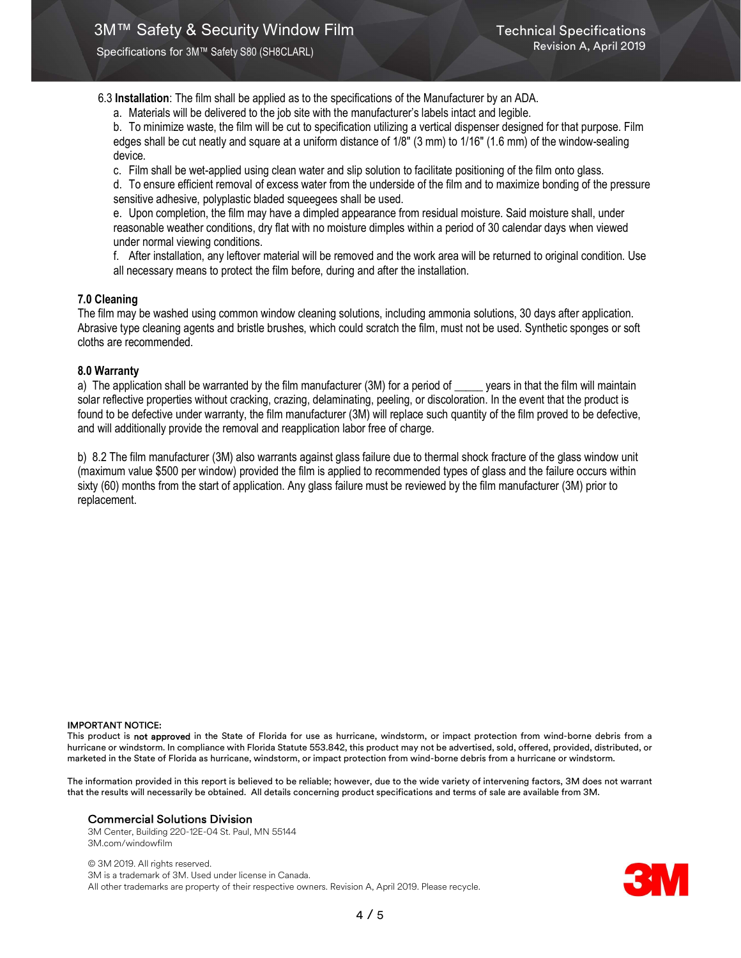Specifications for 3M™ Safety S80 (SH8CLARL)

6.3 Installation: The film shall be applied as to the specifications of the Manufacturer by an ADA.

a. Materials will be delivered to the job site with the manufacturer's labels intact and legible.

b. To minimize waste, the film will be cut to specification utilizing a vertical dispenser designed for that purpose. Film edges shall be cut neatly and square at a uniform distance of 1/8" (3 mm) to 1/16" (1.6 mm) of the window-sealing device.

c. Film shall be wet-applied using clean water and slip solution to facilitate positioning of the film onto glass.

d. To ensure efficient removal of excess water from the underside of the film and to maximize bonding of the pressure sensitive adhesive, polyplastic bladed squeegees shall be used.

e. Upon completion, the film may have a dimpled appearance from residual moisture. Said moisture shall, under reasonable weather conditions, dry flat with no moisture dimples within a period of 30 calendar days when viewed under normal viewing conditions.

f. After installation, any leftover material will be removed and the work area will be returned to original condition. Use all necessary means to protect the film before, during and after the installation.

## 7.0 Cleaning

The film may be washed using common window cleaning solutions, including ammonia solutions, 30 days after application. Abrasive type cleaning agents and bristle brushes, which could scratch the film, must not be used. Synthetic sponges or soft cloths are recommended.

### 8.0 Warranty

a) The application shall be warranted by the film manufacturer (3M) for a period of \_\_\_\_ years in that the film will maintain solar reflective properties without cracking, crazing, delaminating, peeling, or discoloration. In the event that the product is found to be defective under warranty, the film manufacturer (3M) will replace such quantity of the film proved to be defective, and will additionally provide the removal and reapplication labor free of charge.

b) 8.2 The film manufacturer (3M) also warrants against glass failure due to thermal shock fracture of the glass window unit (maximum value \$500 per window) provided the film is applied to recommended types of glass and the failure occurs within sixty (60) months from the start of application. Any glass failure must be reviewed by the film manufacturer (3M) prior to replacement.

#### IMPORTANT NOTICE:

This product is not approved in the State of Florida for use as hurricane, windstorm, or impact protection from wind-borne debris from a hurricane or windstorm. In compliance with Florida Statute 553.842, this product may not be advertised, sold, offered, provided, distributed, or marketed in the State of Florida as hurricane, windstorm, or impact protection from wind-borne debris from a hurricane or windstorm.

The information provided in this report is believed to be reliable; however, due to the wide variety of intervening factors, 3M does not warrant that the results will necessarily be obtained. All details concerning product specifications and terms of sale are available from 3M.

#### Commercial Solutions Division

3M Center, Building 220-12E-04 St. Paul, MN 55144 3M.com/windowfilm